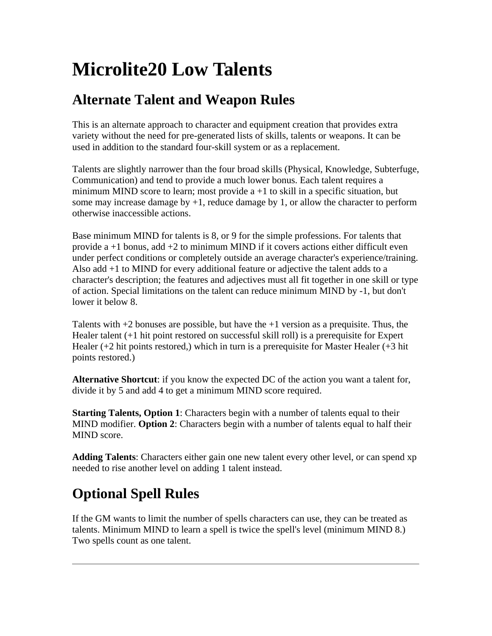# **Microlite20 Low Talents**

#### **Alternate Talent and Weapon Rules**

This is an alternate approach to character and equipment creation that provides extra variety without the need for pre-generated lists of skills, talents or weapons. It can be used in addition to the standard four-skill system or as a replacement.

Talents are slightly narrower than the four broad skills (Physical, Knowledge, Subterfuge, Communication) and tend to provide a much lower bonus. Each talent requires a minimum MIND score to learn; most provide  $a + 1$  to skill in a specific situation, but some may increase damage by  $+1$ , reduce damage by 1, or allow the character to perform otherwise inaccessible actions.

Base minimum MIND for talents is 8, or 9 for the simple professions. For talents that provide  $a + 1$  bonus, add  $+2$  to minimum MIND if it covers actions either difficult even under perfect conditions or completely outside an average character's experience/training. Also add +1 to MIND for every additional feature or adjective the talent adds to a character's description; the features and adjectives must all fit together in one skill or type of action. Special limitations on the talent can reduce minimum MIND by -1, but don't lower it below 8.

Talents with  $+2$  bonuses are possible, but have the  $+1$  version as a prequisite. Thus, the Healer talent (+1 hit point restored on successful skill roll) is a prerequisite for Expert Healer (+2 hit points restored,) which in turn is a prerequisite for Master Healer (+3 hit points restored.)

**Alternative Shortcut**: if you know the expected DC of the action you want a talent for, divide it by 5 and add 4 to get a minimum MIND score required.

**Starting Talents, Option 1:** Characters begin with a number of talents equal to their MIND modifier. **Option 2**: Characters begin with a number of talents equal to half their MIND score.

**Adding Talents**: Characters either gain one new talent every other level, or can spend xp needed to rise another level on adding 1 talent instead.

## **Optional Spell Rules**

If the GM wants to limit the number of spells characters can use, they can be treated as talents. Minimum MIND to learn a spell is twice the spell's level (minimum MIND 8.) Two spells count as one talent.